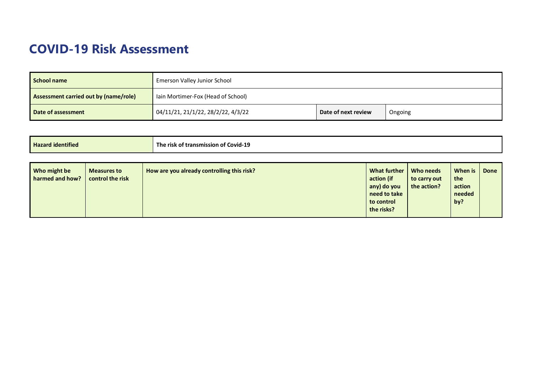## **COVID-19 Risk Assessment**

| School name                           | Emerson Valley Junior School       |                     |         |  |
|---------------------------------------|------------------------------------|---------------------|---------|--|
| Assessment carried out by (name/role) | lain Mortimer-Fox (Head of School) |                     |         |  |
| Date of assessment                    | 04/11/21, 21/1/22, 28/2/22, 4/3/22 | Date of next review | Ongoing |  |

| <b>Hazard identified</b>                                                  | The risk of transmission of Covid-19       |                                                                                       |                                          |                                           |             |
|---------------------------------------------------------------------------|--------------------------------------------|---------------------------------------------------------------------------------------|------------------------------------------|-------------------------------------------|-------------|
| Who might be<br><b>Measures to</b><br>harmed and how?<br>control the risk | How are you already controlling this risk? | What further<br>action (if<br>any) do you<br>need to take<br>to control<br>the risks? | Who needs<br>to carry out<br>the action? | When is<br>the<br>action<br>needed<br>by? | <b>Done</b> |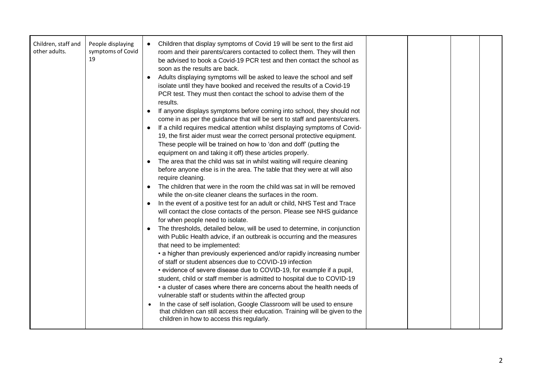| Children, staff and<br>other adults. | People displaying<br>symptoms of Covid<br>19 | Children that display symptoms of Covid 19 will be sent to the first aid<br>room and their parents/carers contacted to collect them. They will then<br>be advised to book a Covid-19 PCR test and then contact the school as<br>soon as the results are back.<br>Adults displaying symptoms will be asked to leave the school and self<br>isolate until they have booked and received the results of a Covid-19<br>PCR test. They must then contact the school to advise them of the<br>results.<br>If anyone displays symptoms before coming into school, they should not<br>$\bullet$<br>come in as per the guidance that will be sent to staff and parents/carers.<br>If a child requires medical attention whilst displaying symptoms of Covid-<br>$\bullet$<br>19, the first aider must wear the correct personal protective equipment.<br>These people will be trained on how to 'don and doff' (putting the<br>equipment on and taking it off) these articles properly.<br>The area that the child was sat in whilst waiting will require cleaning<br>before anyone else is in the area. The table that they were at will also<br>require cleaning.<br>The children that were in the room the child was sat in will be removed<br>while the on-site cleaner cleans the surfaces in the room.<br>In the event of a positive test for an adult or child, NHS Test and Trace<br>$\bullet$<br>will contact the close contacts of the person. Please see NHS guidance<br>for when people need to isolate.<br>The thresholds, detailed below, will be used to determine, in conjunction<br>with Public Health advice, if an outbreak is occurring and the measures<br>that need to be implemented:<br>• a higher than previously experienced and/or rapidly increasing number<br>of staff or student absences due to COVID-19 infection<br>• evidence of severe disease due to COVID-19, for example if a pupil,<br>student, child or staff member is admitted to hospital due to COVID-19<br>• a cluster of cases where there are concerns about the health needs of<br>vulnerable staff or students within the affected group<br>In the case of self isolation, Google Classroom will be used to ensure<br>that children can still access their education. Training will be given to the<br>children in how to access this regularly. |  |  |  |  |
|--------------------------------------|----------------------------------------------|------------------------------------------------------------------------------------------------------------------------------------------------------------------------------------------------------------------------------------------------------------------------------------------------------------------------------------------------------------------------------------------------------------------------------------------------------------------------------------------------------------------------------------------------------------------------------------------------------------------------------------------------------------------------------------------------------------------------------------------------------------------------------------------------------------------------------------------------------------------------------------------------------------------------------------------------------------------------------------------------------------------------------------------------------------------------------------------------------------------------------------------------------------------------------------------------------------------------------------------------------------------------------------------------------------------------------------------------------------------------------------------------------------------------------------------------------------------------------------------------------------------------------------------------------------------------------------------------------------------------------------------------------------------------------------------------------------------------------------------------------------------------------------------------------------------------------------------------------------------------------------------------------------------------------------------------------------------------------------------------------------------------------------------------------------------------------------------------------------------------------------------------------------------------------------------------------------------------------------------------------------------------------------------------------------------------------------------|--|--|--|--|
|--------------------------------------|----------------------------------------------|------------------------------------------------------------------------------------------------------------------------------------------------------------------------------------------------------------------------------------------------------------------------------------------------------------------------------------------------------------------------------------------------------------------------------------------------------------------------------------------------------------------------------------------------------------------------------------------------------------------------------------------------------------------------------------------------------------------------------------------------------------------------------------------------------------------------------------------------------------------------------------------------------------------------------------------------------------------------------------------------------------------------------------------------------------------------------------------------------------------------------------------------------------------------------------------------------------------------------------------------------------------------------------------------------------------------------------------------------------------------------------------------------------------------------------------------------------------------------------------------------------------------------------------------------------------------------------------------------------------------------------------------------------------------------------------------------------------------------------------------------------------------------------------------------------------------------------------------------------------------------------------------------------------------------------------------------------------------------------------------------------------------------------------------------------------------------------------------------------------------------------------------------------------------------------------------------------------------------------------------------------------------------------------------------------------------------------------|--|--|--|--|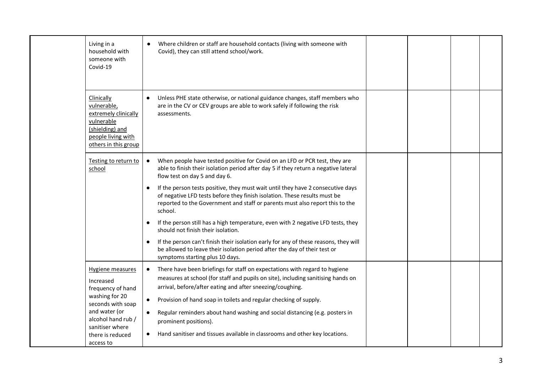| Living in a<br>household with<br>someone with<br>Covid-19                                                                                                                                   | Where children or staff are household contacts (living with someone with<br>Covid), they can still attend school/work.                                                                                                                                                                                                                                                                                                                                                                                                                                                                                                                                                                                                                                                                          |  |  |
|---------------------------------------------------------------------------------------------------------------------------------------------------------------------------------------------|-------------------------------------------------------------------------------------------------------------------------------------------------------------------------------------------------------------------------------------------------------------------------------------------------------------------------------------------------------------------------------------------------------------------------------------------------------------------------------------------------------------------------------------------------------------------------------------------------------------------------------------------------------------------------------------------------------------------------------------------------------------------------------------------------|--|--|
| Clinically<br>vulnerable,<br>extremely clinically<br>vulnerable<br>(shielding) and<br>people living with<br>others in this group                                                            | Unless PHE state otherwise, or national guidance changes, staff members who<br>are in the CV or CEV groups are able to work safely if following the risk<br>assessments.                                                                                                                                                                                                                                                                                                                                                                                                                                                                                                                                                                                                                        |  |  |
| Testing to return to<br>school                                                                                                                                                              | When people have tested positive for Covid on an LFD or PCR test, they are<br>able to finish their isolation period after day 5 if they return a negative lateral<br>flow test on day 5 and day 6.<br>If the person tests positive, they must wait until they have 2 consecutive days<br>of negative LFD tests before they finish isolation. These results must be<br>reported to the Government and staff or parents must also report this to the<br>school.<br>If the person still has a high temperature, even with 2 negative LFD tests, they<br>should not finish their isolation.<br>If the person can't finish their isolation early for any of these reasons, they will<br>be allowed to leave their isolation period after the day of their test or<br>symptoms starting plus 10 days. |  |  |
| <b>Hygiene measures</b><br>Increased<br>frequency of hand<br>washing for 20<br>seconds with soap<br>and water (or<br>alcohol hand rub /<br>sanitiser where<br>there is reduced<br>access to | There have been briefings for staff on expectations with regard to hygiene<br>measures at school (for staff and pupils on site), including sanitising hands on<br>arrival, before/after eating and after sneezing/coughing.<br>Provision of hand soap in toilets and regular checking of supply.<br>$\bullet$<br>Regular reminders about hand washing and social distancing (e.g. posters in<br>prominent positions).<br>Hand sanitiser and tissues available in classrooms and other key locations.                                                                                                                                                                                                                                                                                            |  |  |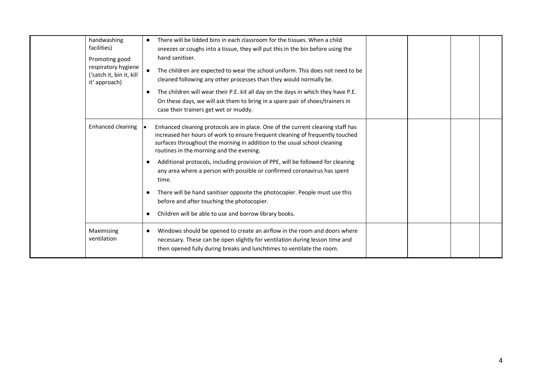| handwashing<br>facilities)<br>Promoting good<br>respiratory hygiene<br>('catch it, bin it, kill<br>it' approach) | There will be lidded bins in each classroom for the tissues. When a child<br>sneezes or coughs into a tissue, they will put this in the bin before using the<br>hand sanitiser.<br>The children are expected to wear the school uniform. This does not need to be<br>cleaned following any other processes than they would normally be.<br>The children will wear their P.E. kit all day on the days in which they have P.E.<br>On these days, we will ask them to bring in a spare pair of shoes/trainers in<br>case their trainers get wet or muddy.                                                                                                  |  |
|------------------------------------------------------------------------------------------------------------------|---------------------------------------------------------------------------------------------------------------------------------------------------------------------------------------------------------------------------------------------------------------------------------------------------------------------------------------------------------------------------------------------------------------------------------------------------------------------------------------------------------------------------------------------------------------------------------------------------------------------------------------------------------|--|
| Enhanced cleaning                                                                                                | Enhanced cleaning protocols are in place. One of the current cleaning staff has<br>increased her hours of work to ensure frequent cleaning of frequently touched<br>surfaces throughout the morning in addition to the usual school cleaning<br>routines in the morning and the evening.<br>Additional protocols, including provision of PPE, will be followed for cleaning<br>any area where a person with possible or confirmed coronavirus has spent<br>time.<br>There will be hand sanitiser opposite the photocopier. People must use this<br>before and after touching the photocopier.<br>Children will be able to use and borrow library books. |  |
| Maximising<br>ventilation                                                                                        | Windows should be opened to create an airflow in the room and doors where<br>necessary. These can be open slightly for ventilation during lesson time and<br>then opened fully during breaks and lunchtimes to ventilate the room.                                                                                                                                                                                                                                                                                                                                                                                                                      |  |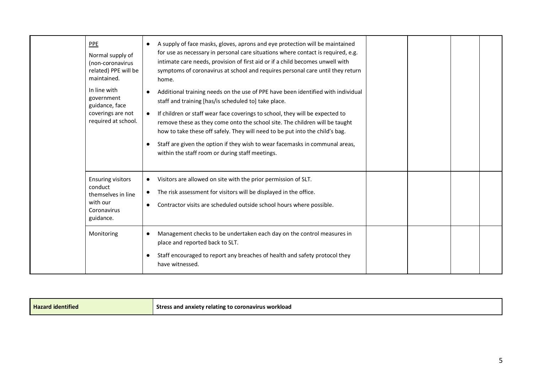| PPE<br>Normal supply of<br>(non-coronavirus<br>related) PPE will be<br>maintained.                | A supply of face masks, gloves, aprons and eye protection will be maintained<br>for use as necessary in personal care situations where contact is required, e.g.<br>intimate care needs, provision of first aid or if a child becomes unwell with<br>symptoms of coronavirus at school and requires personal care until they return<br>home.                                                                                                                                                                                            |  |  |
|---------------------------------------------------------------------------------------------------|-----------------------------------------------------------------------------------------------------------------------------------------------------------------------------------------------------------------------------------------------------------------------------------------------------------------------------------------------------------------------------------------------------------------------------------------------------------------------------------------------------------------------------------------|--|--|
| In line with<br>government<br>guidance, face<br>coverings are not<br>required at school.          | Additional training needs on the use of PPE have been identified with individual<br>staff and training [has/is scheduled to] take place.<br>If children or staff wear face coverings to school, they will be expected to<br>$\bullet$<br>remove these as they come onto the school site. The children will be taught<br>how to take these off safely. They will need to be put into the child's bag.<br>Staff are given the option if they wish to wear facemasks in communal areas,<br>within the staff room or during staff meetings. |  |  |
| <b>Ensuring visitors</b><br>conduct<br>themselves in line<br>with our<br>Coronavirus<br>guidance. | Visitors are allowed on site with the prior permission of SLT.<br>The risk assessment for visitors will be displayed in the office.<br>Contractor visits are scheduled outside school hours where possible.                                                                                                                                                                                                                                                                                                                             |  |  |
| Monitoring                                                                                        | Management checks to be undertaken each day on the control measures in<br>place and reported back to SLT.<br>Staff encouraged to report any breaches of health and safety protocol they<br>have witnessed.                                                                                                                                                                                                                                                                                                                              |  |  |

|  | Haza.<br>.<br>l identified | coronavirus workload<br>l anxiety relating<br>and<br><b>Stres</b> |
|--|----------------------------|-------------------------------------------------------------------|
|--|----------------------------|-------------------------------------------------------------------|